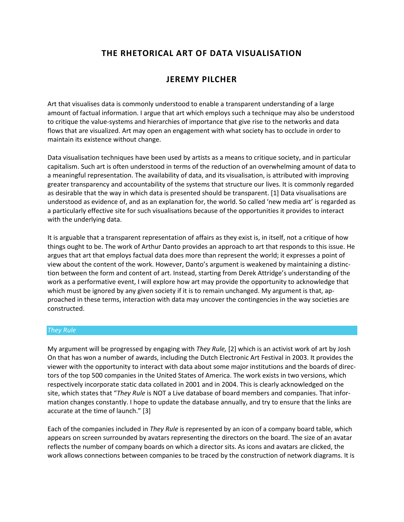# **THE RHETORICAL ART OF DATA VISUALISATION**

# **JEREMY PILCHER**

Art that visualises data is commonly understood to enable a transparent understanding of a large amount of factual information. I argue that art which employs such a technique may also be understood to critique the value-systems and hierarchies of importance that give rise to the networks and data flows that are visualized. Art may open an engagement with what society has to occlude in order to maintain its existence without change.

Data visualisation techniques have been used by artists as a means to critique society, and in particular capitalism. Such art is often understood in terms of the reduction of an overwhelming amount of data to a meaningful representation. The availability of data, and its visualisation, is attributed with improving greater transparency and accountability of the systems that structure our lives. It is commonly regarded as desirable that the way in which data is presented should be transparent. [1] Data visualisations are understood as evidence of, and as an explanation for, the world. So called 'new media art' is regarded as a particularly effective site for such visualisations because of the opportunities it provides to interact with the underlying data.

It is arguable that a transparent representation of affairs as they exist is, in itself, not a critique of how things ought to be. The work of Arthur Danto provides an approach to art that responds to this issue. He argues that art that employs factual data does more than represent the world; it expresses a point of view about the content of the work. However, Danto's argument is weakened by maintaining a distinction between the form and content of art. Instead, starting from Derek Attridge's understanding of the work as a performative event, I will explore how art may provide the opportunity to acknowledge that which must be ignored by any given society if it is to remain unchanged. My argument is that, approached in these terms, interaction with data may uncover the contingencies in the way societies are constructed.

# *They Rule*

My argument will be progressed by engaging with *They Rule,* [2] which is an activist work of art by Josh On that has won a number of awards, including the Dutch Electronic Art Festival in 2003. It provides the viewer with the opportunity to interact with data about some major institutions and the boards of directors of the top 500 companies in the United States of America. The work exists in two versions, which respectively incorporate static data collated in 2001 and in 2004. This is clearly acknowledged on the site, which states that "*They Rule* is NOT a Live database of board members and companies. That information changes constantly. I hope to update the database annually, and try to ensure that the links are accurate at the time of launch." [3]

Each of the companies included in *They Rule* is represented by an icon of a company board table, which appears on screen surrounded by avatars representing the directors on the board. The size of an avatar reflects the number of company boards on which a director sits. As icons and avatars are clicked, the work allows connections between companies to be traced by the construction of network diagrams. It is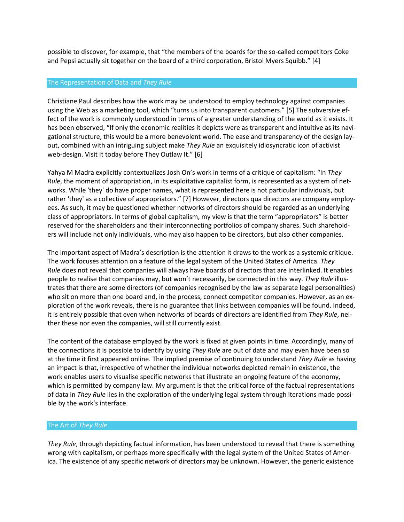possible to discover, for example, that "the members of the boards for the so-called competitors Coke and Pepsi actually sit together on the board of a third corporation, Bristol Myers Squibb." [4]

### The Representation of Data and *They Rule*

Christiane Paul describes how the work may be understood to employ technology against companies using the Web as a marketing tool, which "turns us into transparent customers." [5] The subversive effect of the work is commonly understood in terms of a greater understanding of the world as it exists. It has been observed, "If only the economic realities it depicts were as transparent and intuitive as its navigational structure, this would be a more benevolent world. The ease and transparency of the design layout, combined with an intriguing subject make *They Rule* an exquisitely idiosyncratic icon of activist web-design. Visit it today before They Outlaw It." [6]

Yahya M Madra explicitly contextualizes Josh On's work in terms of a critique of capitalism: "In *They Rule*, the moment of appropriation, in its exploitative capitalist form, is represented as a system of networks. While 'they' do have proper names, what is represented here is not particular individuals, but rather 'they' as a collective of appropriators." [7] However, directors qua directors are company employees. As such, it may be questioned whether networks of directors should be regarded as an underlying class of appropriators. In terms of global capitalism, my view is that the term "appropriators" is better reserved for the shareholders and their interconnecting portfolios of company shares. Such shareholders will include not only individuals, who may also happen to be directors, but also other companies.

The important aspect of Madra's description is the attention it draws to the work as a systemic critique. The work focuses attention on a feature of the legal system of the United States of America. *They Rule* does not reveal that companies will always have boards of directors that are interlinked. It enables people to realise that companies may, but won't necessarily, be connected in this way. *They Rule* illustrates that there are some directors (of companies recognised by the law as separate legal personalities) who sit on more than one board and, in the process, connect competitor companies. However, as an exploration of the work reveals, there is no guarantee that links between companies will be found. Indeed, it is entirely possible that even when networks of boards of directors are identified from *They Rule*, neither these nor even the companies, will still currently exist.

The content of the database employed by the work is fixed at given points in time. Accordingly, many of the connections it is possible to identify by using *They Rule* are out of date and may even have been so at the time it first appeared online. The implied premise of continuing to understand *They Rule* as having an impact is that, irrespective of whether the individual networks depicted remain in existence, the work enables users to visualise specific networks that illustrate an ongoing feature of the economy, which is permitted by company law. My argument is that the critical force of the factual representations of data in *They Rule* lies in the exploration of the underlying legal system through iterations made possible by the work's interface.

#### The Art of *They Rule*

*They Rule*, through depicting factual information, has been understood to reveal that there is something wrong with capitalism, or perhaps more specifically with the legal system of the United States of America. The existence of any specific network of directors may be unknown. However, the generic existence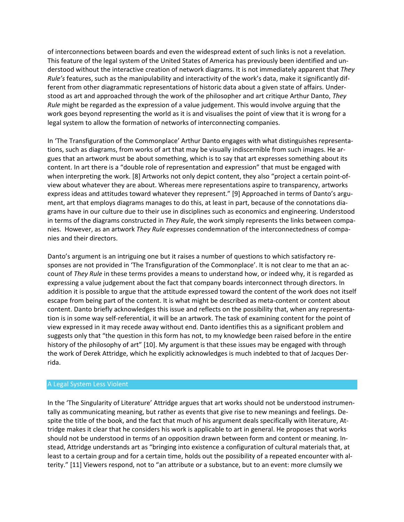of interconnections between boards and even the widespread extent of such links is not a revelation. This feature of the legal system of the United States of America has previously been identified and understood without the interactive creation of network diagrams. It is not immediately apparent that *They Rule's* features, such as the manipulability and interactivity of the work's data, make it significantly different from other diagrammatic representations of historic data about a given state of affairs. Understood as art and approached through the work of the philosopher and art critique Arthur Danto, *They Rule* might be regarded as the expression of a value judgement. This would involve arguing that the work goes beyond representing the world as it is and visualises the point of view that it is wrong for a legal system to allow the formation of networks of interconnecting companies.

In 'The Transfiguration of the Commonplace' Arthur Danto engages with what distinguishes representations, such as diagrams, from works of art that may be visually indiscernible from such images. He argues that an artwork must be about something, which is to say that art expresses something about its content. In art there is a "double role of representation and expression" that must be engaged with when interpreting the work. [8] Artworks not only depict content, they also "project a certain point-ofview about whatever they are about. Whereas mere representations aspire to transparency, artworks express ideas and attitudes toward whatever they represent." [9] Approached in terms of Danto's argument, art that employs diagrams manages to do this, at least in part, because of the connotations diagrams have in our culture due to their use in disciplines such as economics and engineering. Understood in terms of the diagrams constructed in *They Rule*, the work simply represents the links between companies. However, as an artwork *They Rule* expresses condemnation of the interconnectedness of companies and their directors.

Danto's argument is an intriguing one but it raises a number of questions to which satisfactory responses are not provided in 'The Transfiguration of the Commonplace'. It is not clear to me that an account of *They Rule* in these terms provides a means to understand how, or indeed why, it is regarded as expressing a value judgement about the fact that company boards interconnect through directors. In addition it is possible to argue that the attitude expressed toward the content of the work does not itself escape from being part of the content. It is what might be described as meta-content or content about content. Danto briefly acknowledges this issue and reflects on the possibility that, when any representation is in some way self-referential, it will be an artwork. The task of examining content for the point of view expressed in it may recede away without end. Danto identifies this as a significant problem and suggests only that "the question in this form has not, to my knowledge been raised before in the entire history of the philosophy of art" [10]. My argument is that these issues may be engaged with through the work of Derek Attridge, which he explicitly acknowledges is much indebted to that of Jacques Derrida.

## A Legal System Less Violent

In the 'The Singularity of Literature' Attridge argues that art works should not be understood instrumentally as communicating meaning, but rather as events that give rise to new meanings and feelings. Despite the title of the book, and the fact that much of his argument deals specifically with literature, Attridge makes it clear that he considers his work is applicable to art in general. He proposes that works should not be understood in terms of an opposition drawn between form and content or meaning. Instead, Attridge understands art as "bringing into existence a configuration of cultural materials that, at least to a certain group and for a certain time, holds out the possibility of a repeated encounter with alterity." [11] Viewers respond, not to "an attribute or a substance, but to an event: more clumsily we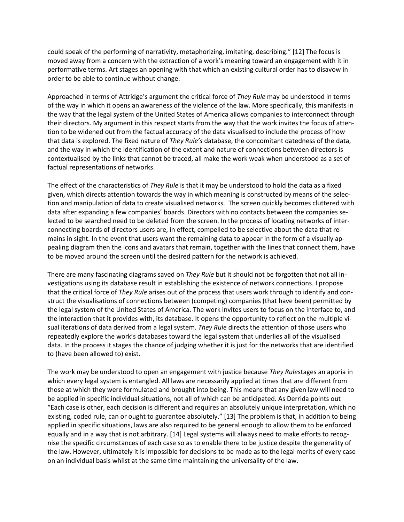could speak of the performing of narrativity, metaphorizing, imitating, describing." [12] The focus is moved away from a concern with the extraction of a work's meaning toward an engagement with it in performative terms. Art stages an opening with that which an existing cultural order has to disavow in order to be able to continue without change.

Approached in terms of Attridge's argument the critical force of *They Rule* may be understood in terms of the way in which it opens an awareness of the violence of the law. More specifically, this manifests in the way that the legal system of the United States of America allows companies to interconnect through their directors. My argument in this respect starts from the way that the work invites the focus of attention to be widened out from the factual accuracy of the data visualised to include the process of how that data is explored. The fixed nature of *They Rule's* database, the concomitant datedness of the data, and the way in which the identification of the extent and nature of connections between directors is contextualised by the links that cannot be traced, all make the work weak when understood as a set of factual representations of networks.

The effect of the characteristics of *They Rule* is that it may be understood to hold the data as a fixed given, which directs attention towards the way in which meaning is constructed by means of the selection and manipulation of data to create visualised networks. The screen quickly becomes cluttered with data after expanding a few companies' boards. Directors with no contacts between the companies selected to be searched need to be deleted from the screen. In the process of locating networks of interconnecting boards of directors users are, in effect, compelled to be selective about the data that remains in sight. In the event that users want the remaining data to appear in the form of a visually appealing diagram then the icons and avatars that remain, together with the lines that connect them, have to be moved around the screen until the desired pattern for the network is achieved.

There are many fascinating diagrams saved on *They Rule* but it should not be forgotten that not all investigations using its database result in establishing the existence of network connections. I propose that the critical force of *They Rule* arises out of the process that users work through to identify and construct the visualisations of connections between (competing) companies (that have been) permitted by the legal system of the United States of America. The work invites users to focus on the interface to, and the interaction that it provides with, its database. It opens the opportunity to reflect on the multiple visual iterations of data derived from a legal system. *They Rule* directs the attention of those users who repeatedly explore the work's databases toward the legal system that underlies all of the visualised data. In the process it stages the chance of judging whether it is just for the networks that are identified to (have been allowed to) exist.

The work may be understood to open an engagement with justice because *They Rule*stages an aporia in which every legal system is entangled. All laws are necessarily applied at times that are different from those at which they were formulated and brought into being. This means that any given law will need to be applied in specific individual situations, not all of which can be anticipated. As Derrida points out "Each case is other, each decision is different and requires an absolutely unique interpretation, which no existing, coded rule, can or ought to guarantee absolutely." [13] The problem is that, in addition to being applied in specific situations, laws are also required to be general enough to allow them to be enforced equally and in a way that is not arbitrary. [14] Legal systems will always need to make efforts to recognise the specific circumstances of each case so as to enable there to be justice despite the generality of the law. However, ultimately it is impossible for decisions to be made as to the legal merits of every case on an individual basis whilst at the same time maintaining the universality of the law.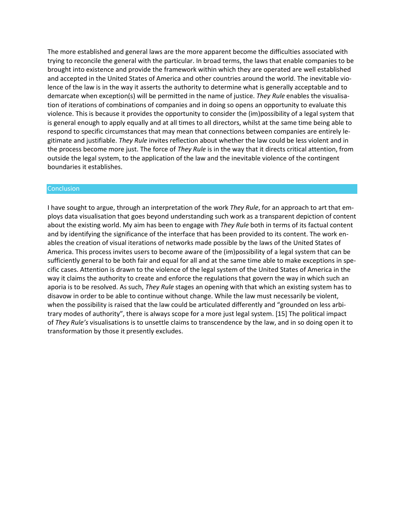The more established and general laws are the more apparent become the difficulties associated with trying to reconcile the general with the particular. In broad terms, the laws that enable companies to be brought into existence and provide the framework within which they are operated are well established and accepted in the United States of America and other countries around the world. The inevitable violence of the law is in the way it asserts the authority to determine what is generally acceptable and to demarcate when exception(s) will be permitted in the name of justice. *They Rule* enables the visualisation of iterations of combinations of companies and in doing so opens an opportunity to evaluate this violence. This is because it provides the opportunity to consider the (im)possibility of a legal system that is general enough to apply equally and at all times to all directors, whilst at the same time being able to respond to specific circumstances that may mean that connections between companies are entirely legitimate and justifiable. *They Rule* invites reflection about whether the law could be less violent and in the process become more just. The force of *They Rule* is in the way that it directs critical attention, from outside the legal system, to the application of the law and the inevitable violence of the contingent boundaries it establishes.

#### **Conclusion**

I have sought to argue, through an interpretation of the work *They Rule*, for an approach to art that employs data visualisation that goes beyond understanding such work as a transparent depiction of content about the existing world. My aim has been to engage with *They Rule* both in terms of its factual content and by identifying the significance of the interface that has been provided to its content. The work enables the creation of visual iterations of networks made possible by the laws of the United States of America. This process invites users to become aware of the (im)possibility of a legal system that can be sufficiently general to be both fair and equal for all and at the same time able to make exceptions in specific cases. Attention is drawn to the violence of the legal system of the United States of America in the way it claims the authority to create and enforce the regulations that govern the way in which such an aporia is to be resolved. As such, *They Rule* stages an opening with that which an existing system has to disavow in order to be able to continue without change. While the law must necessarily be violent, when the possibility is raised that the law could be articulated differently and "grounded on less arbitrary modes of authority", there is always scope for a more just legal system. [15] The political impact of *They Rule's* visualisations is to unsettle claims to transcendence by the law, and in so doing open it to transformation by those it presently excludes.